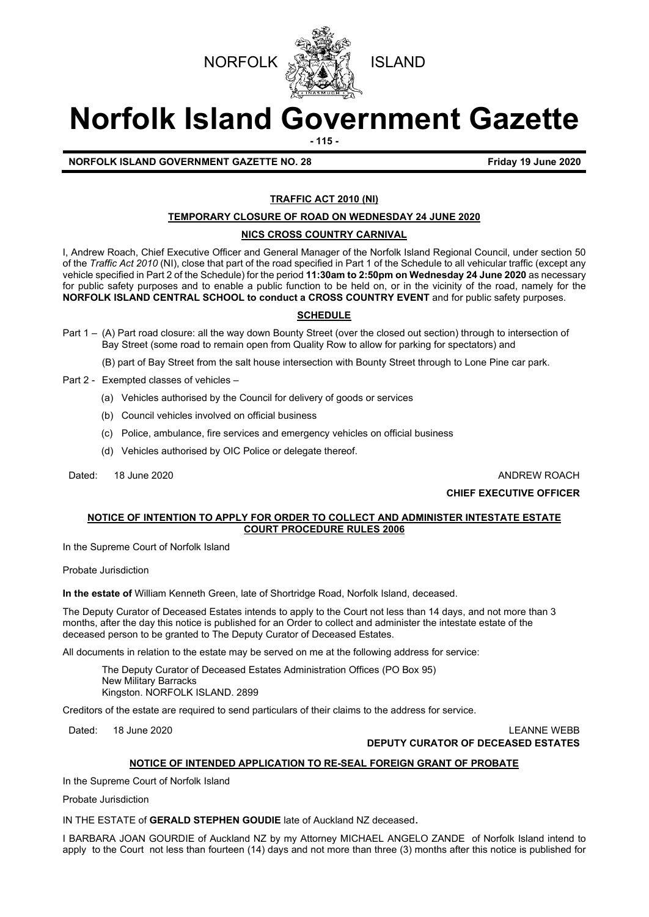



# **Norfolk Island Government Gazette**

**- 115 -**

# **NORFOLK ISLAND GOVERNMENT GAZETTE NO. 28 Friday 19 June 2020**

# **TRAFFIC ACT 2010 (NI)**

# **TEMPORARY CLOSURE OF ROAD ON WEDNESDAY 24 JUNE 2020**

# **NICS CROSS COUNTRY CARNIVAL**

I, Andrew Roach, Chief Executive Officer and General Manager of the Norfolk Island Regional Council, under section 50 of the *Traffic Act 2010* (NI), close that part of the road specified in Part 1 of the Schedule to all vehicular traffic (except any vehicle specified in Part 2 of the Schedule) for the period **11:30am to 2:50pm on Wednesday 24 June 2020** as necessary for public safety purposes and to enable a public function to be held on, or in the vicinity of the road, namely for the **NORFOLK ISLAND CENTRAL SCHOOL to conduct a CROSS COUNTRY EVENT** and for public safety purposes.

# **SCHEDULE**

- Part 1 (A) Part road closure: all the way down Bounty Street (over the closed out section) through to intersection of Bay Street (some road to remain open from Quality Row to allow for parking for spectators) and
	- (B) part of Bay Street from the salt house intersection with Bounty Street through to Lone Pine car park.
- Part 2 Exempted classes of vehicles
	- (a) Vehicles authorised by the Council for delivery of goods or services
	- (b) Council vehicles involved on official business
	- (c) Police, ambulance, fire services and emergency vehicles on official business
	- (d) Vehicles authorised by OIC Police or delegate thereof.
- Dated: 18 June 2020 **ANDREW ROACH**

# **CHIEF EXECUTIVE OFFICER**

# **NOTICE OF INTENTION TO APPLY FOR ORDER TO COLLECT AND ADMINISTER INTESTATE ESTATE COURT PROCEDURE RULES 2006**

In the Supreme Court of Norfolk Island

Probate Jurisdiction

**In the estate of** William Kenneth Green, late of Shortridge Road, Norfolk Island, deceased.

The Deputy Curator of Deceased Estates intends to apply to the Court not less than 14 days, and not more than 3 months, after the day this notice is published for an Order to collect and administer the intestate estate of the deceased person to be granted to The Deputy Curator of Deceased Estates.

All documents in relation to the estate may be served on me at the following address for service:

The Deputy Curator of Deceased Estates Administration Offices (PO Box 95) New Military Barracks Kingston. NORFOLK ISLAND. 2899

Creditors of the estate are required to send particulars of their claims to the address for service.

Dated: 18 June 2020 LEANNE WEBB **DEPUTY CURATOR OF DECEASED ESTATES**

#### **NOTICE OF INTENDED APPLICATION TO RE-SEAL FOREIGN GRANT OF PROBATE**

In the Supreme Court of Norfolk Island

Probate Jurisdiction

IN THE ESTATE of **GERALD STEPHEN GOUDIE** late of Auckland NZ deceased.

I BARBARA JOAN GOURDIE of Auckland NZ by my Attorney MICHAEL ANGELO ZANDE of Norfolk Island intend to apply to the Court not less than fourteen (14) days and not more than three (3) months after this notice is published for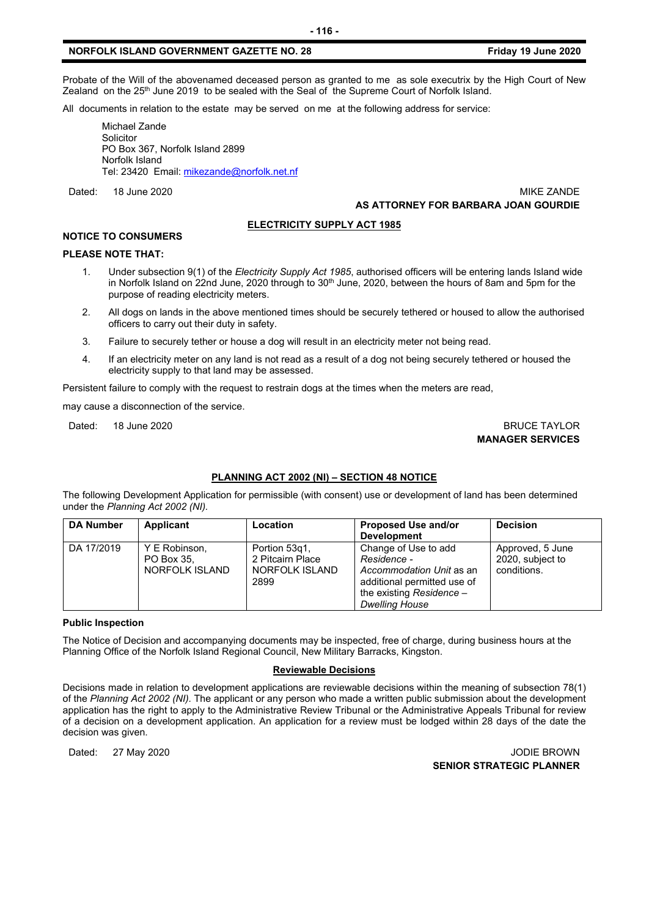# **NORFOLK ISLAND GOVERNMENT GAZETTE NO. 28 Friday 19 June 2020**

Probate of the Will of the abovenamed deceased person as granted to me as sole executrix by the High Court of New Zealand on the 25<sup>th</sup> June 2019 to be sealed with the Seal of the Supreme Court of Norfolk Island.

All documents in relation to the estate may be served on me at the following address for service:

Michael Zande Solicitor PO Box 367, Norfolk Island 2899 Norfolk Island Tel: 23420 Email[: mikezande@norfolk.net.nf](mailto:mikezande@norfolk.net.nf)

Dated: 18 June 2020 MIKE ZANDE **AS ATTORNEY FOR BARBARA JOAN GOURDIE**

#### **ELECTRICITY SUPPLY ACT 1985**

# **NOTICE TO CONSUMERS**

#### **PLEASE NOTE THAT:**

- 1. Under subsection 9(1) of the *Electricity Supply Act 1985*, authorised officers will be entering lands Island wide in Norfolk Island on 22nd June, 2020 through to  $30<sup>th</sup>$  June, 2020, between the hours of 8am and 5pm for the purpose of reading electricity meters.
- 2. All dogs on lands in the above mentioned times should be securely tethered or housed to allow the authorised officers to carry out their duty in safety.
- 3. Failure to securely tether or house a dog will result in an electricity meter not being read.
- 4. If an electricity meter on any land is not read as a result of a dog not being securely tethered or housed the electricity supply to that land may be assessed.

Persistent failure to comply with the request to restrain dogs at the times when the meters are read,

may cause a disconnection of the service.

#### Dated: 18 June 2020 BRUCE TAYLOR **MANAGER SERVICES**

## **PLANNING ACT 2002 (NI) – SECTION 48 NOTICE**

The following Development Application for permissible (with consent) use or development of land has been determined under the *Planning Act 2002 (NI).*

| <b>DA Number</b> | Applicant      | Location         | Proposed Use and/or         | <b>Decision</b>  |
|------------------|----------------|------------------|-----------------------------|------------------|
|                  |                |                  | <b>Development</b>          |                  |
| DA 17/2019       | Y E Robinson,  | Portion 53q1,    | Change of Use to add        | Approved, 5 June |
|                  | PO Box 35.     | 2 Pitcairn Place | Residence -                 | 2020, subject to |
|                  | NORFOLK ISLAND | NORFOLK ISLAND   | Accommodation Unit as an    | conditions.      |
|                  |                | 2899             | additional permitted use of |                  |
|                  |                |                  | the existing Residence -    |                  |
|                  |                |                  | <b>Dwelling House</b>       |                  |

#### **Public Inspection**

The Notice of Decision and accompanying documents may be inspected, free of charge, during business hours at the Planning Office of the Norfolk Island Regional Council, New Military Barracks, Kingston.

#### **Reviewable Decisions**

Decisions made in relation to development applications are reviewable decisions within the meaning of subsection 78(1) of the *Planning Act 2002 (NI).* The applicant or any person who made a written public submission about the development application has the right to apply to the Administrative Review Tribunal or the Administrative Appeals Tribunal for review of a decision on a development application. An application for a review must be lodged within 28 days of the date the decision was given.

Dated: 27 May 2020 JODIE BROWN **SENIOR STRATEGIC PLANNER**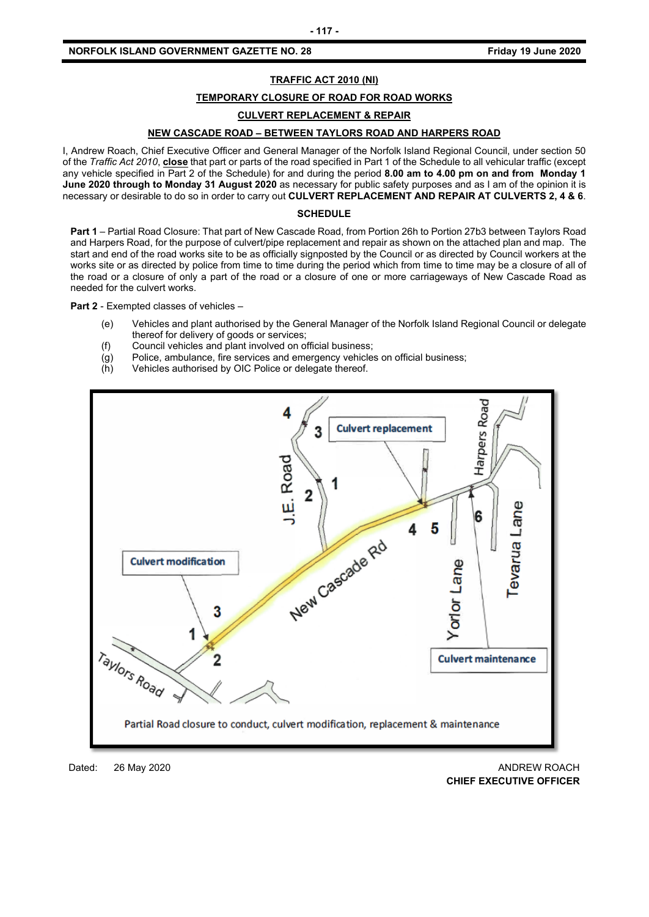# **NORFOLK ISLAND GOVERNMENT GAZETTE NO. 28 Friday 19 June 2020**

# **TRAFFIC ACT 2010 (NI)**

#### **TEMPORARY CLOSURE OF ROAD FOR ROAD WORKS**

#### **CULVERT REPLACEMENT & REPAIR**

# **NEW CASCADE ROAD – BETWEEN TAYLORS ROAD AND HARPERS ROAD**

I, Andrew Roach, Chief Executive Officer and General Manager of the Norfolk Island Regional Council, under section 50 of the *Traffic Act 2010*, **close** that part or parts of the road specified in Part 1 of the Schedule to all vehicular traffic (except any vehicle specified in Part 2 of the Schedule) for and during the period **8.00 am to 4.00 pm on and from Monday 1 June 2020 through to Monday 31 August 2020** as necessary for public safety purposes and as I am of the opinion it is necessary or desirable to do so in order to carry out **CULVERT REPLACEMENT AND REPAIR AT CULVERTS 2, 4 & 6**.

#### **SCHEDULE**

**Part 1** – Partial Road Closure: That part of New Cascade Road, from Portion 26h to Portion 27b3 between Taylors Road and Harpers Road, for the purpose of culvert/pipe replacement and repair as shown on the attached plan and map. The start and end of the road works site to be as officially signposted by the Council or as directed by Council workers at the works site or as directed by police from time to time during the period which from time to time may be a closure of all of the road or a closure of only a part of the road or a closure of one or more carriageways of New Cascade Road as needed for the culvert works.

**Part 2** - Exempted classes of vehicles –

- (e) Vehicles and plant authorised by the General Manager of the Norfolk Island Regional Council or delegate thereof for delivery of goods or services;
- (f) Council vehicles and plant involved on official business;
- (g) Police, ambulance, fire services and emergency vehicles on official business;
- (h) Vehicles authorised by OIC Police or delegate thereof.



Dated: 26 May 2020 ANDREW ROACH **CHIEF EXECUTIVE OFFICER**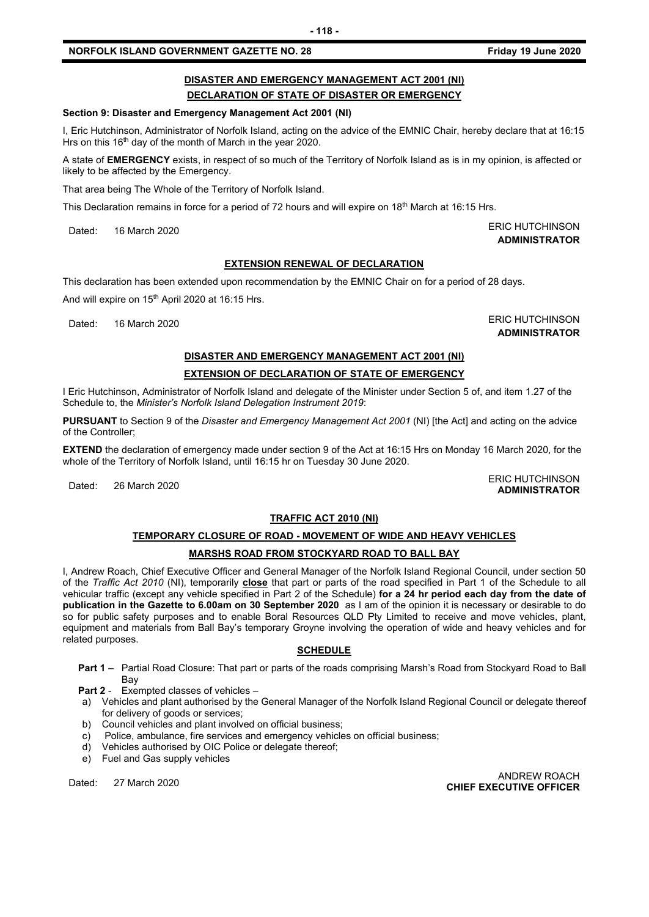#### **NORFOLK ISLAND GOVERNMENT GAZETTE NO. 28 FRIDAY 19 JUNE 2020**

# **DISASTER AND EMERGENCY MANAGEMENT ACT 2001 (NI) DECLARATION OF STATE OF DISASTER OR EMERGENCY**

#### **Section 9: Disaster and Emergency Management Act 2001 (NI)**

I, Eric Hutchinson, Administrator of Norfolk Island, acting on the advice of the EMNIC Chair, hereby declare that at 16:15 Hrs on this 16<sup>th</sup> day of the month of March in the year 2020.

A state of **EMERGENCY** exists, in respect of so much of the Territory of Norfolk Island as is in my opinion, is affected or likely to be affected by the Emergency.

That area being The Whole of the Territory of Norfolk Island.

This Declaration remains in force for a period of 72 hours and will expire on 18<sup>th</sup> March at 16:15 Hrs.

Dated: 16 March 2020 **ERIC HUTCHINSON** 

# **EXTENSION RENEWAL OF DECLARATION**

This declaration has been extended upon recommendation by the EMNIC Chair on for a period of 28 days.

And will expire on 15<sup>th</sup> April 2020 at 16:15 Hrs.

Dated: 16 March 2020 ERIC HUTCHINSON

**ADMINISTRATOR**

**ADMINISTRATOR**

**ADMINISTRATOR**

# **DISASTER AND EMERGENCY MANAGEMENT ACT 2001 (NI)**

# **EXTENSION OF DECLARATION OF STATE OF EMERGENCY**

I Eric Hutchinson, Administrator of Norfolk Island and delegate of the Minister under Section 5 of, and item 1.27 of the Schedule to, the *Minister's Norfolk Island Delegation Instrument 2019*:

**PURSUANT** to Section 9 of the *Disaster and Emergency Management Act 2001* (NI) [the Act] and acting on the advice of the Controller;

**EXTEND** the declaration of emergency made under section 9 of the Act at 16:15 Hrs on Monday 16 March 2020, for the whole of the Territory of Norfolk Island, until 16:15 hr on Tuesday 30 June 2020.

Dated: 26 March 2020<br>Dated: 26 March 2020

# **TRAFFIC ACT 2010 (NI)**

# **TEMPORARY CLOSURE OF ROAD - MOVEMENT OF WIDE AND HEAVY VEHICLES MARSHS ROAD FROM STOCKYARD ROAD TO BALL BAY**

I, Andrew Roach, Chief Executive Officer and General Manager of the Norfolk Island Regional Council, under section 50 of the *Traffic Act 2010* (NI), temporarily **close** that part or parts of the road specified in Part 1 of the Schedule to all vehicular traffic (except any vehicle specified in Part 2 of the Schedule) **for a 24 hr period each day from the date of publication in the Gazette to 6.00am on 30 September 2020** as I am of the opinion it is necessary or desirable to do so for public safety purposes and to enable Boral Resources QLD Pty Limited to receive and move vehicles, plant, equipment and materials from Ball Bay's temporary Groyne involving the operation of wide and heavy vehicles and for related purposes.

# **SCHEDULE**

**Part 1** – Partial Road Closure: That part or parts of the roads comprising Marsh's Road from Stockyard Road to Ball **Bay** 

**Part 2** - Exempted classes of vehicles –

- a) Vehicles and plant authorised by the General Manager of the Norfolk Island Regional Council or delegate thereof for delivery of goods or services;
- b) Council vehicles and plant involved on official business;
- c) Police, ambulance, fire services and emergency vehicles on official business;
- d) Vehicles authorised by OIC Police or delegate thereof;
- e) Fuel and Gas supply vehicles

ANDREW ROACH<br>CHIEF EXECUTIVE OFFICER **CHIEF EXECUTIVE OFFICER**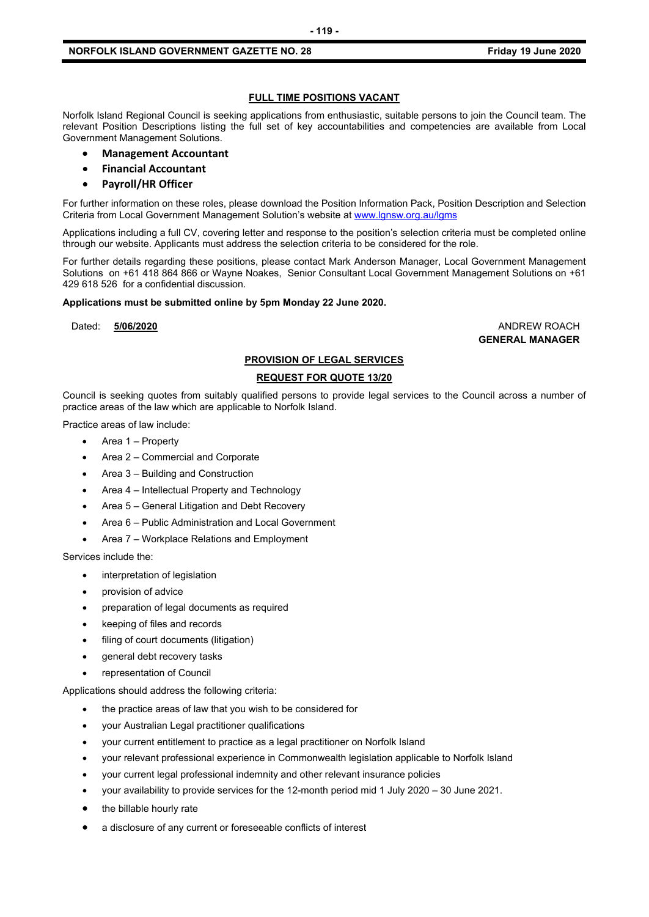# **NORFOLK ISLAND GOVERNMENT GAZETTE NO. 28 FRIDAY 19 JUNE 2020**

#### **FULL TIME POSITIONS VACANT**

Norfolk Island Regional Council is seeking applications from enthusiastic, suitable persons to join the Council team. The relevant Position Descriptions listing the full set of key accountabilities and competencies are available from Local Government Management Solutions.

- **Management Accountant**
- **Financial Accountant**
- **Payroll/HR Officer**

For further information on these roles, please download the Position Information Pack, Position Description and Selection Criteria from Local Government Management Solution's website at [www.lgnsw.org.au/lgms](http://www.lgnsw.org.au/lgms)

Applications including a full CV, covering letter and response to the position's selection criteria must be completed online through our website. Applicants must address the selection criteria to be considered for the role.

For further details regarding these positions, please contact Mark Anderson Manager, Local Government Management Solutions on +61 418 864 866 or Wayne Noakes, Senior Consultant Local Government Management Solutions on +61 429 618 526 for a confidential discussion.

#### **Applications must be submitted online by 5pm Monday 22 June 2020.**

Dated: **5/06/2020** ANDREW ROACH

**GENERAL MANAGER**

#### **PROVISION OF LEGAL SERVICES**

#### **REQUEST FOR QUOTE 13/20**

Council is seeking quotes from suitably qualified persons to provide legal services to the Council across a number of practice areas of the law which are applicable to Norfolk Island.

Practice areas of law include:

- Area 1 Property
- Area 2 Commercial and Corporate
- Area 3 Building and Construction
- Area 4 Intellectual Property and Technology
- Area 5 General Litigation and Debt Recovery
- Area 6 Public Administration and Local Government
- Area 7 Workplace Relations and Employment

Services include the:

- interpretation of legislation
- provision of advice
- preparation of legal documents as required
- keeping of files and records
- filing of court documents (litigation)
- general debt recovery tasks
- representation of Council

Applications should address the following criteria:

- the practice areas of law that you wish to be considered for
- your Australian Legal practitioner qualifications
- your current entitlement to practice as a legal practitioner on Norfolk Island
- your relevant professional experience in Commonwealth legislation applicable to Norfolk Island
- your current legal professional indemnity and other relevant insurance policies
- your availability to provide services for the 12-month period mid 1 July 2020 30 June 2021.
- the billable hourly rate
- a disclosure of any current or foreseeable conflicts of interest